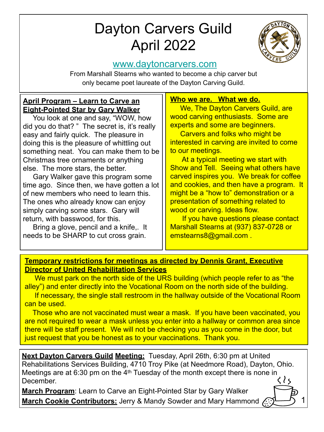# Dayton Carvers Guild April 2022



1

## [www.daytoncarvers.com](http://www.daytoncarvers.com/)

From Marshall Stearns who wanted to become a chip carver but only became poet laureate of the Dayton Carving Guild.

#### **April Program – Learn to Carve an Eight-Pointed Star by Gary Walker**

 You look at one and say, "WOW, how did you do that? " The secret is, it's really easy and fairly quick. The pleasure in doing this is the pleasure of whittling out something neat. You can make them to be Christmas tree ornaments or anything else. The more stars, the better.

 Gary Walker gave this program some time ago. Since then, we have gotten a lot of new members who need to learn this. The ones who already know can enjoy simply carving some stars. Gary will return, with basswood, for this.

 Bring a glove, pencil and a knife,. It needs to be SHARP to cut cross grain.

#### **Who we are. What we do.**

We, The Dayton Carvers Guild, are wood carving enthusiasts. Some are experts and some are beginners.

 Carvers and folks who might be interested in carving are invited to come to our meetings.

 At a typical meeting we start with Show and Tell. Seeing what others have carved inspires you. We break for coffee and cookies, and then have a program. It might be a "how to" demonstration or a presentation of something related to wood or carving. Ideas flow.

 If you have questions please contact Marshall Stearns at (937) 837-0728 or emstearns8@gmail.com .

#### **Temporary restrictions for meetings as directed by Dennis Grant, Executive Director of United Rehabilitation Services**

 We must park on the north side of the URS building (which people refer to as "the alley") and enter directly into the Vocational Room on the north side of the building.

 If necessary, the single stall restroom in the hallway outside of the Vocational Room can be used.

 Those who are not vaccinated must wear a mask. If you have been vaccinated, you are not required to wear a mask unless you enter into a hallway or common area since there will be staff present. We will not be checking you as you come in the door, but just request that you be honest as to your vaccinations. Thank you.

**Next Dayton Carvers Guild Meeting:** Tuesday, April 26th, 6:30 pm at United Rehabilitations Services Building, 4710 Troy Pike (at Needmore Road), Dayton, Ohio. Meetings are at 6:30 pm on the 4<sup>th</sup> Tuesday of the month except there is none in C  $\{ \}$ December.

**March Program**: Learn to Carve an Eight-Pointed Star by Gary Walker March Cookie Contributors: Jerry & Mandy Sowder and Mary Hammond A